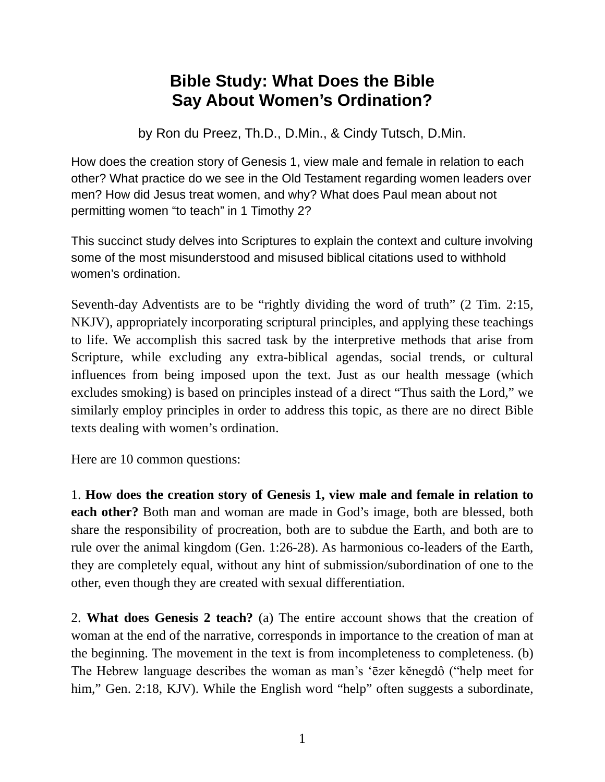## **Bible Study: What Does the Bible Say About Women's Ordination?**

by Ron du Preez, Th.D., D.Min., & Cindy Tutsch, D.Min.

How does the creation story of Genesis 1, view male and female in relation to each other? What practice do we see in the Old Testament regarding women leaders over men? How did Jesus treat women, and why? What does Paul mean about not permitting women "to teach" in 1 Timothy 2?

This succinct study delves into Scriptures to explain the context and culture involving some of the most misunderstood and misused biblical citations used to withhold women's ordination.

Seventh-day Adventists are to be "rightly dividing the word of truth" (2 Tim. 2:15, NKJV), appropriately incorporating scriptural principles, and applying these teachings to life. We accomplish this sacred task by the interpretive methods that arise from Scripture, while excluding any extra-biblical agendas, social trends, or cultural influences from being imposed upon the text. Just as our health message (which excludes smoking) is based on principles instead of a direct "Thus saith the Lord," we similarly employ principles in order to address this topic, as there are no direct Bible texts dealing with women's ordination.

Here are 10 common questions:

1. **How does the creation story of Genesis 1, view male and female in relation to each other?** Both man and woman are made in God's image, both are blessed, both share the responsibility of procreation, both are to subdue the Earth, and both are to rule over the animal kingdom (Gen. 1:26-28). As harmonious co-leaders of the Earth, they are completely equal, without any hint of submission/subordination of one to the other, even though they are created with sexual differentiation.

2. **What does Genesis 2 teach?** (a) The entire account shows that the creation of woman at the end of the narrative, corresponds in importance to the creation of man at the beginning. The movement in the text is from incompleteness to completeness. (b) The Hebrew language describes the woman as man's 'ēzer kĕnegdô ("help meet for him," Gen. 2:18, KJV). While the English word "help" often suggests a subordinate,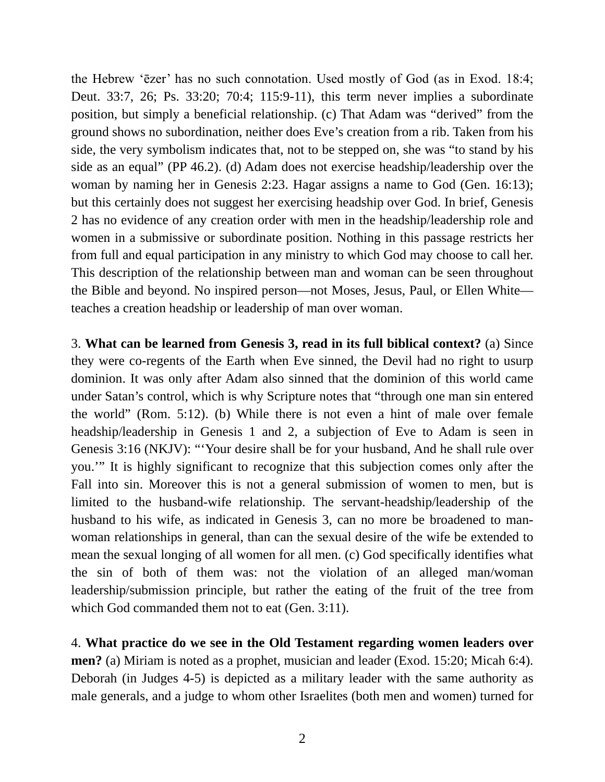the Hebrew 'ēzer' has no such connotation. Used mostly of God (as in Exod. 18:4; Deut. 33:7, 26; Ps. 33:20; 70:4; 115:9-11), this term never implies a subordinate position, but simply a beneficial relationship. (c) That Adam was "derived" from the ground shows no subordination, neither does Eve's creation from a rib. Taken from his side, the very symbolism indicates that, not to be stepped on, she was "to stand by his side as an equal" (PP 46.2). (d) Adam does not exercise headship/leadership over the woman by naming her in Genesis 2:23. Hagar assigns a name to God (Gen. 16:13); but this certainly does not suggest her exercising headship over God. In brief, Genesis 2 has no evidence of any creation order with men in the headship/leadership role and women in a submissive or subordinate position. Nothing in this passage restricts her from full and equal participation in any ministry to which God may choose to call her. This description of the relationship between man and woman can be seen throughout the Bible and beyond. No inspired person—not Moses, Jesus, Paul, or Ellen White teaches a creation headship or leadership of man over woman.

3. **What can be learned from Genesis 3, read in its full biblical context?** (a) Since they were co-regents of the Earth when Eve sinned, the Devil had no right to usurp dominion. It was only after Adam also sinned that the dominion of this world came under Satan's control, which is why Scripture notes that "through one man sin entered the world" (Rom. 5:12). (b) While there is not even a hint of male over female headship/leadership in Genesis 1 and 2, a subjection of Eve to Adam is seen in Genesis 3:16 (NKJV): "'Your desire shall be for your husband, And he shall rule over you.'" It is highly significant to recognize that this subjection comes only after the Fall into sin. Moreover this is not a general submission of women to men, but is limited to the husband-wife relationship. The servant-headship/leadership of the husband to his wife, as indicated in Genesis 3, can no more be broadened to manwoman relationships in general, than can the sexual desire of the wife be extended to mean the sexual longing of all women for all men. (c) God specifically identifies what the sin of both of them was: not the violation of an alleged man/woman leadership/submission principle, but rather the eating of the fruit of the tree from which God commanded them not to eat (Gen. 3:11).

4. **What practice do we see in the Old Testament regarding women leaders over men?** (a) Miriam is noted as a prophet, musician and leader (Exod. 15:20; Micah 6:4). Deborah (in Judges 4-5) is depicted as a military leader with the same authority as male generals, and a judge to whom other Israelites (both men and women) turned for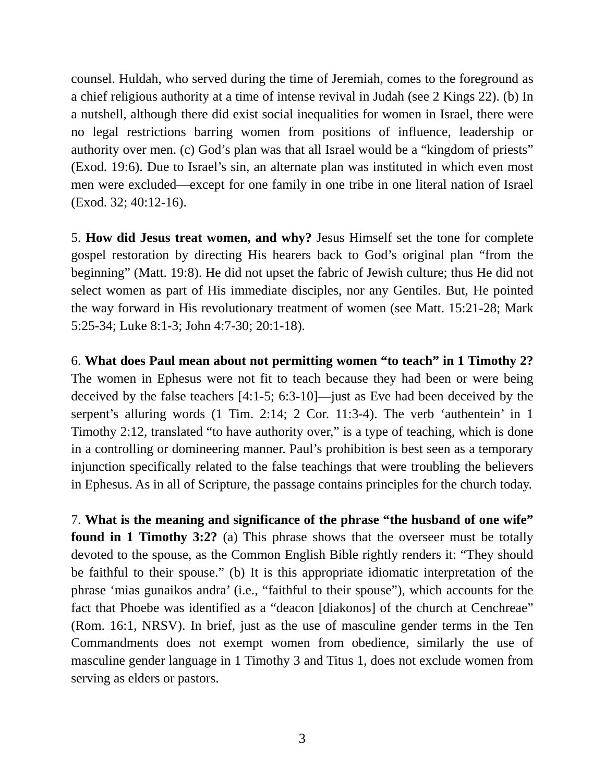counsel. Huldah, who served during the time of Jeremiah, comes to the foreground as a chief religious authority at a time of intense revival in Judah (see 2 Kings 22). (b) In a nutshell, although there did exist social inequalities for women in Israel, there were no legal restrictions barring women from positions of influence, leadership or authority over men. (c) God's plan was that all Israel would be a "kingdom of priests" (Exod. 19:6). Due to Israel's sin, an alternate plan was instituted in which even most men were excluded—except for one family in one tribe in one literal nation of Israel (Exod. 32; 40:12-16).

5. **How did Jesus treat women, and why?** Jesus Himself set the tone for complete gospel restoration by directing His hearers back to God's original plan "from the beginning" (Matt. 19:8). He did not upset the fabric of Jewish culture; thus He did not select women as part of His immediate disciples, nor any Gentiles. But, He pointed the way forward in His revolutionary treatment of women (see Matt. 15:21-28; Mark 5:25-34; Luke 8:1-3; John 4:7-30; 20:1-18).

6. **What does Paul mean about not permitting women "to teach" in 1 Timothy 2?** The women in Ephesus were not fit to teach because they had been or were being deceived by the false teachers [4:1-5; 6:3-10]—just as Eve had been deceived by the serpent's alluring words (1 Tim. 2:14; 2 Cor. 11:3-4). The verb 'authentein' in 1 Timothy 2:12, translated "to have authority over," is a type of teaching, which is done in a controlling or domineering manner. Paul's prohibition is best seen as a temporary injunction specifically related to the false teachings that were troubling the believers in Ephesus. As in all of Scripture, the passage contains principles for the church today.

7. **What is the meaning and significance of the phrase "the husband of one wife" found in 1 Timothy 3:2?** (a) This phrase shows that the overseer must be totally devoted to the spouse, as the Common English Bible rightly renders it: "They should be faithful to their spouse." (b) It is this appropriate idiomatic interpretation of the phrase 'mias gunaikos andra' (i.e., "faithful to their spouse"), which accounts for the fact that Phoebe was identified as a "deacon [diakonos] of the church at Cenchreae" (Rom. 16:1, NRSV). In brief, just as the use of masculine gender terms in the Ten Commandments does not exempt women from obedience, similarly the use of masculine gender language in 1 Timothy 3 and Titus 1, does not exclude women from serving as elders or pastors.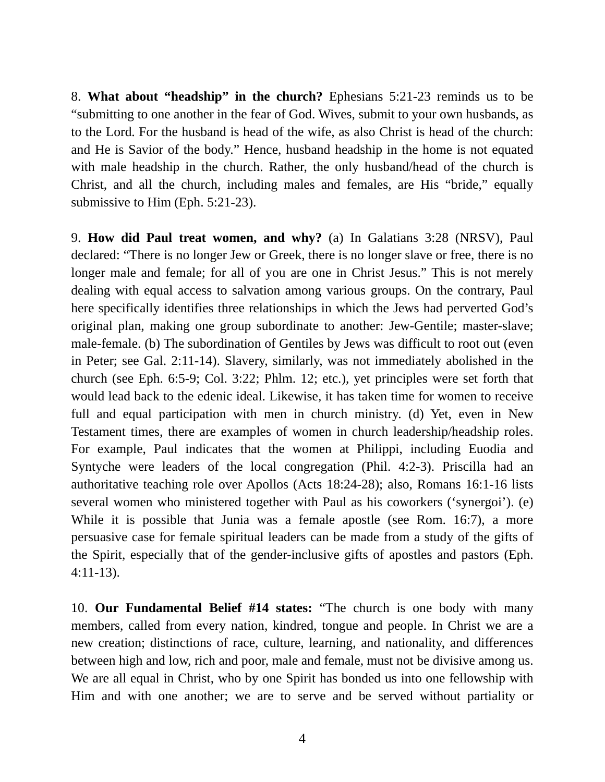8. **What about "headship" in the church?** Ephesians 5:21-23 reminds us to be "submitting to one another in the fear of God. Wives, submit to your own husbands, as to the Lord. For the husband is head of the wife, as also Christ is head of the church: and He is Savior of the body." Hence, husband headship in the home is not equated with male headship in the church. Rather, the only husband/head of the church is Christ, and all the church, including males and females, are His "bride," equally submissive to Him (Eph. 5:21-23).

9. **How did Paul treat women, and why?** (a) In Galatians 3:28 (NRSV), Paul declared: "There is no longer Jew or Greek, there is no longer slave or free, there is no longer male and female; for all of you are one in Christ Jesus." This is not merely dealing with equal access to salvation among various groups. On the contrary, Paul here specifically identifies three relationships in which the Jews had perverted God's original plan, making one group subordinate to another: Jew-Gentile; master-slave; male-female. (b) The subordination of Gentiles by Jews was difficult to root out (even in Peter; see Gal. 2:11-14). Slavery, similarly, was not immediately abolished in the church (see Eph. 6:5-9; Col. 3:22; Phlm. 12; etc.), yet principles were set forth that would lead back to the edenic ideal. Likewise, it has taken time for women to receive full and equal participation with men in church ministry. (d) Yet, even in New Testament times, there are examples of women in church leadership/headship roles. For example, Paul indicates that the women at Philippi, including Euodia and Syntyche were leaders of the local congregation (Phil. 4:2-3). Priscilla had an authoritative teaching role over Apollos (Acts 18:24-28); also, Romans 16:1-16 lists several women who ministered together with Paul as his coworkers ('synergoi'). (e) While it is possible that Junia was a female apostle (see Rom. 16:7), a more persuasive case for female spiritual leaders can be made from a study of the gifts of the Spirit, especially that of the gender-inclusive gifts of apostles and pastors (Eph. 4:11-13).

10. **Our Fundamental Belief #14 states:** "The church is one body with many members, called from every nation, kindred, tongue and people. In Christ we are a new creation; distinctions of race, culture, learning, and nationality, and differences between high and low, rich and poor, male and female, must not be divisive among us. We are all equal in Christ, who by one Spirit has bonded us into one fellowship with Him and with one another; we are to serve and be served without partiality or